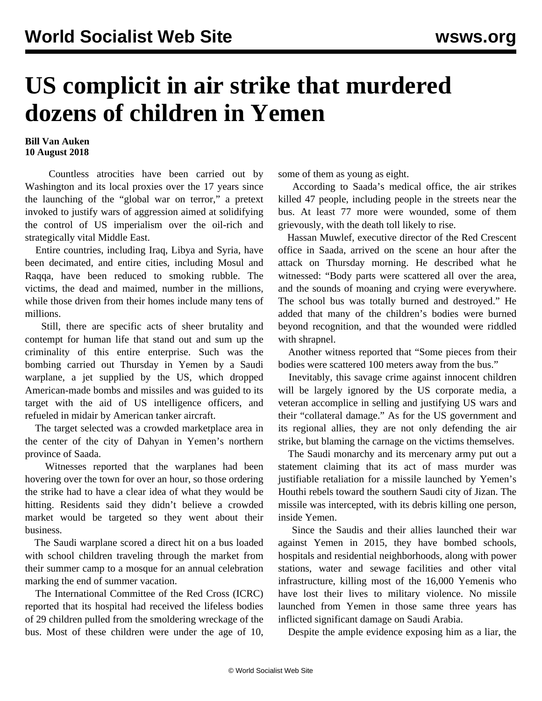## **US complicit in air strike that murdered dozens of children in Yemen**

## **Bill Van Auken 10 August 2018**

 Countless atrocities have been carried out by Washington and its local proxies over the 17 years since the launching of the "global war on terror," a pretext invoked to justify wars of aggression aimed at solidifying the control of US imperialism over the oil-rich and strategically vital Middle East.

 Entire countries, including Iraq, Libya and Syria, have been decimated, and entire cities, including Mosul and Raqqa, have been reduced to smoking rubble. The victims, the dead and maimed, number in the millions, while those driven from their homes include many tens of millions.

 Still, there are specific acts of sheer brutality and contempt for human life that stand out and sum up the criminality of this entire enterprise. Such was the bombing carried out Thursday in Yemen by a Saudi warplane, a jet supplied by the US, which dropped American-made bombs and missiles and was guided to its target with the aid of US intelligence officers, and refueled in midair by American tanker aircraft.

 The target selected was a crowded marketplace area in the center of the city of Dahyan in Yemen's northern province of Saada.

 Witnesses reported that the warplanes had been hovering over the town for over an hour, so those ordering the strike had to have a clear idea of what they would be hitting. Residents said they didn't believe a crowded market would be targeted so they went about their business.

 The Saudi warplane scored a direct hit on a bus loaded with school children traveling through the market from their summer camp to a mosque for an annual celebration marking the end of summer vacation.

 The International Committee of the Red Cross (ICRC) reported that its hospital had received the lifeless bodies of 29 children pulled from the smoldering wreckage of the bus. Most of these children were under the age of 10, some of them as young as eight.

 According to Saada's medical office, the air strikes killed 47 people, including people in the streets near the bus. At least 77 more were wounded, some of them grievously, with the death toll likely to rise.

 Hassan Muwlef, executive director of the Red Crescent office in Saada, arrived on the scene an hour after the attack on Thursday morning. He described what he witnessed: "Body parts were scattered all over the area, and the sounds of moaning and crying were everywhere. The school bus was totally burned and destroyed." He added that many of the children's bodies were burned beyond recognition, and that the wounded were riddled with shrapnel.

 Another witness reported that "Some pieces from their bodies were scattered 100 meters away from the bus."

 Inevitably, this savage crime against innocent children will be largely ignored by the US corporate media, a veteran accomplice in selling and justifying US wars and their "collateral damage." As for the US government and its regional allies, they are not only defending the air strike, but blaming the carnage on the victims themselves.

 The Saudi monarchy and its mercenary army put out a statement claiming that its act of mass murder was justifiable retaliation for a missile launched by Yemen's Houthi rebels toward the southern Saudi city of Jizan. The missile was intercepted, with its debris killing one person, inside Yemen.

 Since the Saudis and their allies launched their war against Yemen in 2015, they have bombed schools, hospitals and residential neighborhoods, along with power stations, water and sewage facilities and other vital infrastructure, killing most of the 16,000 Yemenis who have lost their lives to military violence. No missile launched from Yemen in those same three years has inflicted significant damage on Saudi Arabia.

Despite the ample evidence exposing him as a liar, the